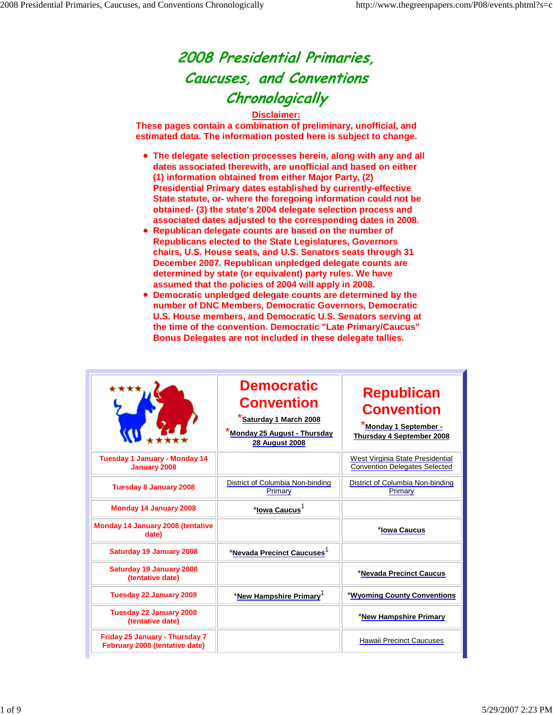## 2008 Presidential Primaries, Caucuses, and Conventions **Chronologically**

## **Disclaimer:**

**These pages contain a combination of preliminary, unofficial, and estimated data. The information posted here is subject to change.**

- **The delegate selection processes herein, along with any and all dates associated therewith, are unofficial and based on either (1) information obtained from either Major Party, (2) Presidential Primary dates established by currently-effective State statute, or- where the foregoing information could not be obtained- (3) the state's 2004 delegate selection process and associated dates adjusted to the corresponding dates in 2008.**
- **Republican delegate counts are based on the number of Republicans elected to the State Legislatures, Governors chairs, U.S. House seats, and U.S. Senators seats through 31 December 2007. Republican unpledged delegate counts are determined by state (or equivalent) party rules. We have assumed that the policies of 2004 will apply in 2008.**
- **Democratic unpledged delegate counts are determined by the**   $\bullet$ **number of DNC Members, Democratic Governors, Democratic U.S. House members, and Democratic U.S. Senators serving at the time of the convention. Democratic "Late Primary/Caucus" Bonus Delegates are not included in these delegate tallies.**

|                                                                  | <b>Democratic</b><br><b>Convention</b><br>Saturday 1 March 2008<br>Monday 25 August - Thursday<br><b>28 August 2008</b> | <b>Republican</b><br><b>Convention</b><br>Monday 1 September -<br>Thursday 4 September 2008 |
|------------------------------------------------------------------|-------------------------------------------------------------------------------------------------------------------------|---------------------------------------------------------------------------------------------|
| <b>Tuesday 1 January - Monday 14</b><br>January 2008             |                                                                                                                         | West Virginia State Presidential<br><b>Convention Delegates Selected</b>                    |
| <b>Tuesday 8 January 2008</b>                                    | District of Columbia Non-binding<br>Primary                                                                             | District of Columbia Non-binding<br>Primary                                                 |
| <b>Monday 14 January 2008</b>                                    | * <u>Iowa Caucu</u> s <sup>1</sup>                                                                                      |                                                                                             |
| Monday 14 January 2008 (tentative<br>date)                       |                                                                                                                         | *Iowa Caucus                                                                                |
| <b>Saturday 19 January 2008</b>                                  | *Nevada Precinct Caucuses <sup>1</sup>                                                                                  |                                                                                             |
| <b>Saturday 19 January 2008</b><br>(tentative date)              |                                                                                                                         | *Nevada Precinct Caucus                                                                     |
| <b>Tuesday 22 January 2008</b>                                   | *New Hampshire Primary <sup>1</sup>                                                                                     | *Wyoming County Conventions                                                                 |
| <b>Tuesday 22 January 2008</b><br>(tentative date)               |                                                                                                                         | *New Hampshire Primary                                                                      |
| Friday 25 January - Thursday 7<br>February 2008 (tentative date) |                                                                                                                         | <b>Hawaii Precinct Caucuses</b>                                                             |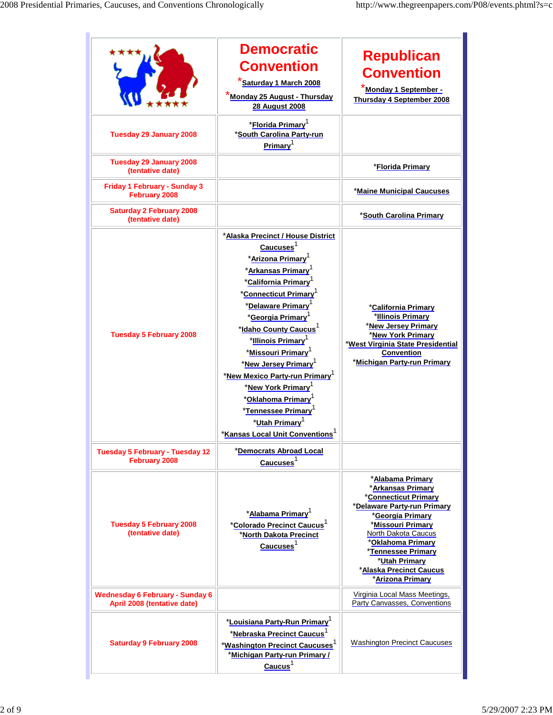|                                                                       | <b>Democratic</b><br><b>Convention</b><br>Saturday 1 March 2008<br><b>*Monda<u>y 25 August - Thursday</u></b><br><b>28 August 2008</b>                                                                                                                                                                                                                                                                                                                                                                                                                                                             | <b>Republican</b><br><b>Convention</b><br>Monday 1 September -<br><b>Thursday 4 September 2008</b>                                                                                                                                                                                    |
|-----------------------------------------------------------------------|----------------------------------------------------------------------------------------------------------------------------------------------------------------------------------------------------------------------------------------------------------------------------------------------------------------------------------------------------------------------------------------------------------------------------------------------------------------------------------------------------------------------------------------------------------------------------------------------------|---------------------------------------------------------------------------------------------------------------------------------------------------------------------------------------------------------------------------------------------------------------------------------------|
| <b>Tuesday 29 January 2008</b>                                        | *Florida Primary <sup>1</sup><br>*South Carolina Party-run<br>Primary <sup>1</sup>                                                                                                                                                                                                                                                                                                                                                                                                                                                                                                                 |                                                                                                                                                                                                                                                                                       |
| <b>Tuesday 29 January 2008</b><br>(tentative date)                    |                                                                                                                                                                                                                                                                                                                                                                                                                                                                                                                                                                                                    | *Florida Primary                                                                                                                                                                                                                                                                      |
| Friday 1 February - Sunday 3<br>February 2008                         |                                                                                                                                                                                                                                                                                                                                                                                                                                                                                                                                                                                                    | *Maine Municipal Caucuses                                                                                                                                                                                                                                                             |
| <b>Saturday 2 February 2008</b><br>(tentative date)                   |                                                                                                                                                                                                                                                                                                                                                                                                                                                                                                                                                                                                    | *South Carolina Primary                                                                                                                                                                                                                                                               |
| <b>Tuesday 5 February 2008</b>                                        | *Alaska Precinct / House District<br>Caucuses <sup>1</sup><br>*Arizona Primary <sup>1</sup><br>* <u>Arkansas Primary</u> <sup>1</sup><br>*California Primary<br><b>*Connecticut Primary</b> <sup>1</sup><br>*Delaware Primary <sup>1</sup><br>*Georgia Primary<br>*Idaho County Caucus <sup>1</sup><br>*Illinois Primary<br>*Missouri Primary <sup>1</sup><br>*New Jersey Primary <sup>1</sup><br>*New Mexico Party-run Primary <sup>1</sup><br>*New York Primary<br>*Oklahoma Primary<br>*Tennessee Primary<br>*Utah Primary <sup>1</sup><br>* <u>Kansas Local Unit Conventi</u> ons <sup>1</sup> | *California Primary<br>*Illinois Primary<br>*New Jersey Primary<br>*New York Primary<br>*West Virginia State Presidential<br>Convention<br>*Michigan Party-run Primary                                                                                                                |
| <b>Tuesday 5 February - Tuesday 12</b><br>February 2008               | *Democrats Abroad Local<br>Caucuses <sup>1</sup>                                                                                                                                                                                                                                                                                                                                                                                                                                                                                                                                                   |                                                                                                                                                                                                                                                                                       |
| <b>Tuesday 5 February 2008</b><br>(tentative date)                    | *Alabama Primary <sup>1</sup><br>* <u>Colorado Precinct Cauc</u> us <sup>1</sup><br>*North Dakota Precinct<br>Caucuses <sup>1</sup>                                                                                                                                                                                                                                                                                                                                                                                                                                                                | * <u>Alabama Primary</u><br>*Arkansas Primary<br>*Connecticut Primary<br>*Delaware Party-run Primary<br>*Georgia Primary<br>*Missouri Primary<br>North Dakota Caucus<br><b>Oklahoma Primary</b><br>*Tennessee Primary<br>*Utah Primary<br>*Alaska Precinct Caucus<br>*Arizona Primary |
| <b>Wednesday 6 February - Sunday 6</b><br>April 2008 (tentative date) |                                                                                                                                                                                                                                                                                                                                                                                                                                                                                                                                                                                                    | Virginia Local Mass Meetings,<br>Party Canvasses, Conventions                                                                                                                                                                                                                         |
| <b>Saturday 9 February 2008</b>                                       | *Louisiana Party-Run Primary <sup>1</sup><br>*Nebraska Precinct Caucus <sup>1</sup><br>* <u>Washington Precinct Caucuses</u> <sup>1</sup><br><b>Michigan Party-run Primary/</b><br>$\frac{Caucus^1}{2}$                                                                                                                                                                                                                                                                                                                                                                                            | <b>Washington Precinct Caucuses</b>                                                                                                                                                                                                                                                   |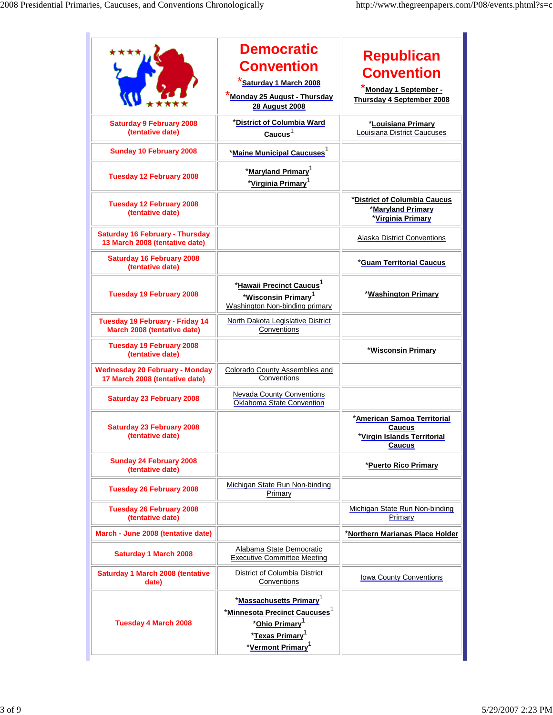|                                                                          | <b>Democratic</b><br><b>Convention</b><br>Saturday 1 March 2008<br>Monday 25 August - Thursday<br><b>28 August 2008</b>                                                                         | <b>Republican</b><br><b>Convention</b><br>Monday 1 September -<br>Thursday 4 September 2008 |
|--------------------------------------------------------------------------|-------------------------------------------------------------------------------------------------------------------------------------------------------------------------------------------------|---------------------------------------------------------------------------------------------|
| <b>Saturday 9 February 2008</b><br>(tentative date)                      | *District of Columbia Ward<br>Caucus <sup>1</sup>                                                                                                                                               | *Louisiana Primary<br>Louisiana District Caucuses                                           |
| <b>Sunday 10 February 2008</b>                                           | * <u>Maine Municipal Caucu</u> ses <sup>1</sup>                                                                                                                                                 |                                                                                             |
| <b>Tuesday 12 February 2008</b>                                          | *Maryland Primary <sup>1</sup><br>*Virginia Primary <sup>1</sup>                                                                                                                                |                                                                                             |
| <b>Tuesday 12 February 2008</b><br>(tentative date)                      |                                                                                                                                                                                                 | *District of Columbia Caucus<br>*Maryland Primary<br>*Virginia Primary                      |
| <b>Saturday 16 February - Thursday</b><br>13 March 2008 (tentative date) |                                                                                                                                                                                                 | <b>Alaska District Conventions</b>                                                          |
| <b>Saturday 16 February 2008</b><br>(tentative date)                     |                                                                                                                                                                                                 | *Guam Territorial Caucus                                                                    |
| <b>Tuesday 19 February 2008</b>                                          | *Hawaii Precinct Caucus <sup>1</sup><br>*Wisconsin Primary <sup>1</sup><br>Washington Non-binding primary                                                                                       | *Washington Primary                                                                         |
| Tuesday 19 February - Friday 14<br>March 2008 (tentative date)           | North Dakota Legislative District<br>Conventions                                                                                                                                                |                                                                                             |
| <b>Tuesday 19 February 2008</b><br>(tentative date)                      |                                                                                                                                                                                                 | *Wisconsin Primary                                                                          |
| <b>Wednesday 20 February - Monday</b><br>17 March 2008 (tentative date)  | <b>Colorado County Assemblies and</b><br>Conventions                                                                                                                                            |                                                                                             |
| <b>Saturday 23 February 2008</b>                                         | Nevada County Conventions<br>Oklahoma State Convention                                                                                                                                          |                                                                                             |
| <b>Saturday 23 February 2008</b><br>(tentative date)                     |                                                                                                                                                                                                 | *American Samoa Territorial<br><b>Caucus</b><br>*Virgin Islands Territorial<br>Caucus       |
| <b>Sunday 24 February 2008</b><br>(tentative date)                       |                                                                                                                                                                                                 | *Puerto Rico Primary                                                                        |
| <b>Tuesday 26 February 2008</b>                                          | Michigan State Run Non-binding<br>Primary                                                                                                                                                       |                                                                                             |
| <b>Tuesday 26 February 2008</b><br>(tentative date)                      |                                                                                                                                                                                                 | Michigan State Run Non-binding<br>Primary                                                   |
| March - June 2008 (tentative date)                                       |                                                                                                                                                                                                 | *Northern Marianas Place Holder                                                             |
| <b>Saturday 1 March 2008</b>                                             | Alabama State Democratic<br><b>Executive Committee Meeting</b>                                                                                                                                  |                                                                                             |
| <b>Saturday 1 March 2008 (tentative</b><br>date)                         | District of Columbia District<br>Conventions                                                                                                                                                    | Iowa County Conventions                                                                     |
| <b>Tuesday 4 March 2008</b>                                              | *Massachusetts Primary <sup>1</sup><br><u>*Minnesota Precinct Caucuses <math>^\text{1}</math></u><br>*Ohio Primary <sup>1</sup><br>*Texas Primary <sup>1</sup><br>*Vermont Primary <sup>1</sup> |                                                                                             |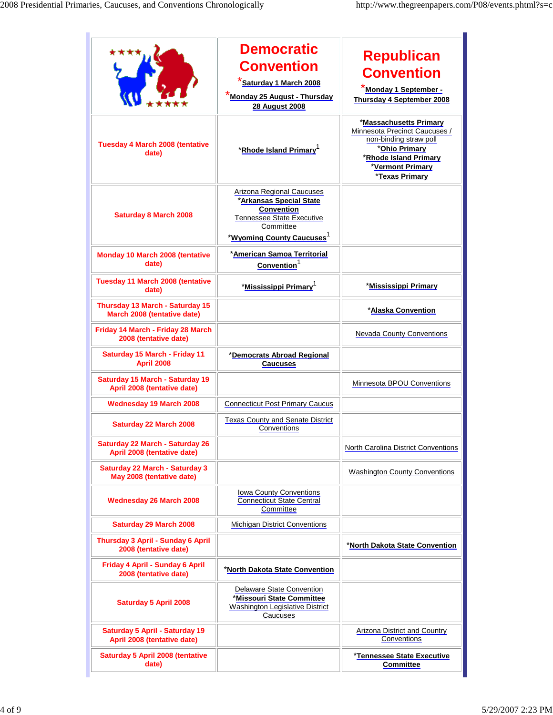|                                                                       | <b>Democratic</b><br><b>Convention</b><br><b>*Saturday 1 March 2008</b><br><b>Monday 25 August - Thursday</b><br><b>28 August 2008</b>                       | <b>Republican</b><br><b>Convention</b><br>Monday 1 September -<br>Thursday 4 September 2008                                                                       |
|-----------------------------------------------------------------------|--------------------------------------------------------------------------------------------------------------------------------------------------------------|-------------------------------------------------------------------------------------------------------------------------------------------------------------------|
| <b>Tuesday 4 March 2008 (tentative</b><br>date)                       | *Rhode Island Primary <sup>1</sup>                                                                                                                           | *Massachusetts Primary<br>Minnesota Precinct Caucuses /<br>non-binding straw poll<br>*Ohio Primary<br>*Rhode Island Primary<br>*Vermont Primary<br>*Texas Primary |
| <b>Saturday 8 March 2008</b>                                          | Arizona Regional Caucuses<br>*Arkansas Special State<br>Convention<br><b>Tennessee State Executive</b><br>Committee<br>*Wyoming County Caucuses <sup>1</sup> |                                                                                                                                                                   |
| Monday 10 March 2008 (tentative<br>date)                              | *American Samoa Territorial<br>Convention <sup>1</sup>                                                                                                       |                                                                                                                                                                   |
| Tuesday 11 March 2008 (tentative<br>date)                             | *Mississippi Primary <sup>1</sup>                                                                                                                            | *Mississippi Primary                                                                                                                                              |
| Thursday 13 March - Saturday 15<br>March 2008 (tentative date)        |                                                                                                                                                              | *Alaska Convention                                                                                                                                                |
| Friday 14 March - Friday 28 March<br>2008 (tentative date)            |                                                                                                                                                              | <b>Nevada County Conventions</b>                                                                                                                                  |
| Saturday 15 March - Friday 11<br><b>April 2008</b>                    | *Democrats Abroad Regional<br><b>Caucuses</b>                                                                                                                |                                                                                                                                                                   |
| <b>Saturday 15 March - Saturday 19</b><br>April 2008 (tentative date) |                                                                                                                                                              | Minnesota BPOU Conventions                                                                                                                                        |
| <b>Wednesday 19 March 2008</b>                                        | <b>Connecticut Post Primary Caucus</b>                                                                                                                       |                                                                                                                                                                   |
| <b>Saturday 22 March 2008</b>                                         | <b>Texas County and Senate District</b><br>Conventions                                                                                                       |                                                                                                                                                                   |
| <b>Saturday 22 March - Saturday 26</b><br>April 2008 (tentative date) |                                                                                                                                                              | North Carolina District Conventions                                                                                                                               |
| <b>Saturday 22 March - Saturday 3</b><br>May 2008 (tentative date)    |                                                                                                                                                              | <b>Washington County Conventions</b>                                                                                                                              |
| Wednesday 26 March 2008                                               | <b>Iowa County Conventions</b><br><b>Connecticut State Central</b><br>Committee                                                                              |                                                                                                                                                                   |
| Saturday 29 March 2008                                                | Michigan District Conventions                                                                                                                                |                                                                                                                                                                   |
| Thursday 3 April - Sunday 6 April<br>2008 (tentative date)            |                                                                                                                                                              | <b>*North Dakota State Convention</b>                                                                                                                             |
| Friday 4 April - Sunday 6 April<br>2008 (tentative date)              | *North Dakota State Convention                                                                                                                               |                                                                                                                                                                   |
| <b>Saturday 5 April 2008</b>                                          | Delaware State Convention<br>*Missouri State Committee<br>Washington Legislative District<br>Caucuses                                                        |                                                                                                                                                                   |
| Saturday 5 April - Saturday 19<br>April 2008 (tentative date)         |                                                                                                                                                              | Arizona District and Country<br>Conventions                                                                                                                       |
| <b>Saturday 5 April 2008 (tentative</b><br>date)                      |                                                                                                                                                              | *Tennessee State Executive<br><b>Committee</b>                                                                                                                    |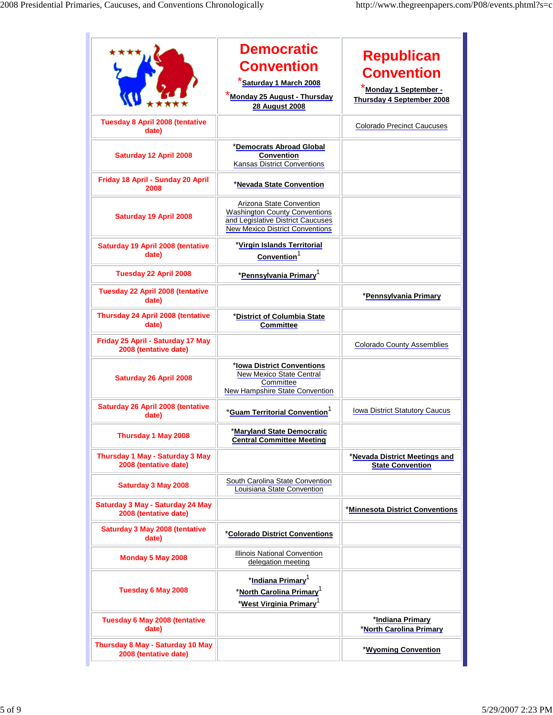|                                                            | <b>Democratic</b><br><b>Convention</b><br>Saturday 1 March 2008<br>Monday 25 August - Thursday<br><b>28 August 2008</b>                         | <b>Republican</b><br><b>Convention</b><br><u>*Monday 1 September -</u><br><b>Thursday 4 September 2008</b> |
|------------------------------------------------------------|-------------------------------------------------------------------------------------------------------------------------------------------------|------------------------------------------------------------------------------------------------------------|
| <b>Tuesday 8 April 2008 (tentative</b><br>date)            |                                                                                                                                                 | <b>Colorado Precinct Caucuses</b>                                                                          |
| <b>Saturday 12 April 2008</b>                              | *Democrats Abroad Global<br><b>Convention</b><br>Kansas District Conventions                                                                    |                                                                                                            |
| Friday 18 April - Sunday 20 April<br>2008                  | *Nevada State Convention                                                                                                                        |                                                                                                            |
| <b>Saturday 19 April 2008</b>                              | Arizona State Convention<br><b>Washington County Conventions</b><br>and Legislative District Caucuses<br><b>New Mexico District Conventions</b> |                                                                                                            |
| Saturday 19 April 2008 (tentative<br>date)                 | *Virgin Islands Territorial<br>Convention <sup>1</sup>                                                                                          |                                                                                                            |
| Tuesday 22 April 2008                                      | *Pennsylvania Primary <sup>1</sup>                                                                                                              |                                                                                                            |
| Tuesday 22 April 2008 (tentative<br>date)                  |                                                                                                                                                 | *Pennsylvania Primary                                                                                      |
| Thursday 24 April 2008 (tentative<br>date)                 | *District of Columbia State<br><b>Committee</b>                                                                                                 |                                                                                                            |
| Friday 25 April - Saturday 17 May<br>2008 (tentative date) |                                                                                                                                                 | <b>Colorado County Assemblies</b>                                                                          |
| Saturday 26 April 2008                                     | *Iowa District Conventions<br>New Mexico State Central<br>Committee<br><b>New Hampshire State Convention</b>                                    |                                                                                                            |
| Saturday 26 April 2008 (tentative<br>date)                 | *Guam Territorial Convention <sup>1</sup>                                                                                                       | Iowa District Statutory Caucus                                                                             |
| Thursday 1 May 2008                                        | *Maryland State Democratic<br><b>Central Committee Meeting</b>                                                                                  |                                                                                                            |
| Thursday 1 May - Saturday 3 May<br>2008 (tentative date)   |                                                                                                                                                 | *Nevada District Meetings and<br><b>State Convention</b>                                                   |
| Saturday 3 May 2008                                        | South Carolina State Convention<br>Louisiana State Convention                                                                                   |                                                                                                            |
| Saturday 3 May - Saturday 24 May<br>2008 (tentative date)  |                                                                                                                                                 | *Minnesota District Conventions                                                                            |
| <b>Saturday 3 May 2008 (tentative</b><br>date)             | *Colorado District Conventions                                                                                                                  |                                                                                                            |
| Monday 5 May 2008                                          | Illinois National Convention<br>delegation meeting                                                                                              |                                                                                                            |
| Tuesday 6 May 2008                                         | *Indiana Primary <sup>1</sup><br>* <u>North Carolina Primary</u> <sup>1</sup><br>*West Virginia Primary <sup>1</sup>                            |                                                                                                            |
| <b>Tuesday 6 May 2008 (tentative</b><br>date)              |                                                                                                                                                 | *Indiana Primary<br>*North Carolina Primary                                                                |
| Thursday 8 May - Saturday 10 May<br>2008 (tentative date)  |                                                                                                                                                 | *Wyoming Convention                                                                                        |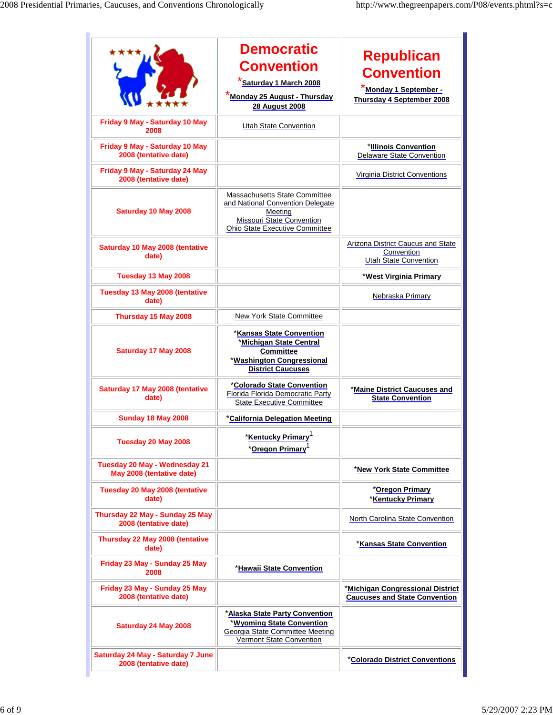|                                                            | <b>Democratic</b><br><b>Convention</b><br><u>Saturday 1 March 2008</u><br><b>*Monday 25 August - Thursday</b><br><b>28 August 2008</b>             | <b>Republican</b><br><b>Convention</b><br>Monday 1 September -<br>Thursday 4 September 2008 |
|------------------------------------------------------------|----------------------------------------------------------------------------------------------------------------------------------------------------|---------------------------------------------------------------------------------------------|
| Friday 9 May - Saturday 10 May<br>2008                     | Utah State Convention                                                                                                                              |                                                                                             |
| Friday 9 May - Saturday 10 May<br>2008 (tentative date)    |                                                                                                                                                    | *Illinois Convention<br><b>Delaware State Convention</b>                                    |
| Friday 9 May - Saturday 24 May<br>2008 (tentative date)    |                                                                                                                                                    | <b>Virginia District Conventions</b>                                                        |
| Saturday 10 May 2008                                       | Massachusetts State Committee<br>and National Convention Delegate<br>Meeting<br><b>Missouri State Convention</b><br>Ohio State Executive Committee |                                                                                             |
| Saturday 10 May 2008 (tentative<br>date)                   |                                                                                                                                                    | Arizona District Caucus and State<br>Convention<br><b>Utah State Convention</b>             |
| Tuesday 13 May 2008                                        |                                                                                                                                                    | <u>*West Virginia Primary</u>                                                               |
| Tuesday 13 May 2008 (tentative<br>date)                    |                                                                                                                                                    | Nebraska Primary                                                                            |
| Thursday 15 May 2008                                       | New York State Committee                                                                                                                           |                                                                                             |
| Saturday 17 May 2008                                       | *Kansas State Convention<br>*Michigan State Central<br><b>Committee</b><br>*Washington Congressional<br><b>District Caucuses</b>                   |                                                                                             |
| Saturday 17 May 2008 (tentative<br>date)                   | *Colorado State Convention<br>Florida Florida Democratic Party<br><b>State Executive Committee</b>                                                 | *Maine District Caucuses and<br><b>State Convention</b>                                     |
| <b>Sunday 18 May 2008</b>                                  | *California Delegation Meeting                                                                                                                     |                                                                                             |
| Tuesday 20 May 2008                                        | *Kentucky Primarv <sup>1</sup><br>*Oregon Primary <sup>1</sup>                                                                                     |                                                                                             |
| Tuesday 20 May - Wednesday 21<br>May 2008 (tentative date) |                                                                                                                                                    | *New York State Committee                                                                   |
| Tuesday 20 May 2008 (tentative<br>date)                    |                                                                                                                                                    | <u>*Oregon Primary</u><br>*Kentucky Primary                                                 |
| Thursday 22 May - Sunday 25 May<br>2008 (tentative date)   |                                                                                                                                                    | North Carolina State Convention                                                             |
| Thursday 22 May 2008 (tentative<br>date)                   |                                                                                                                                                    | *Kansas State Convention                                                                    |
| Friday 23 May - Sunday 25 May<br>2008                      | *Hawaii State Convention                                                                                                                           |                                                                                             |
| Friday 23 May - Sunday 25 May<br>2008 (tentative date)     |                                                                                                                                                    | *Michigan Congressional District<br><b>Caucuses and State Convention</b>                    |
| Saturday 24 May 2008                                       | *Alaska State Party Convention<br><b>Wyoming State Convention</b><br><b>Georgia State Committee Meeting</b><br>Vermont State Convention            |                                                                                             |
| Saturday 24 May - Saturday 7 June<br>2008 (tentative date) |                                                                                                                                                    | *Colorado District Conventions                                                              |

 $\mathbb{R}^2$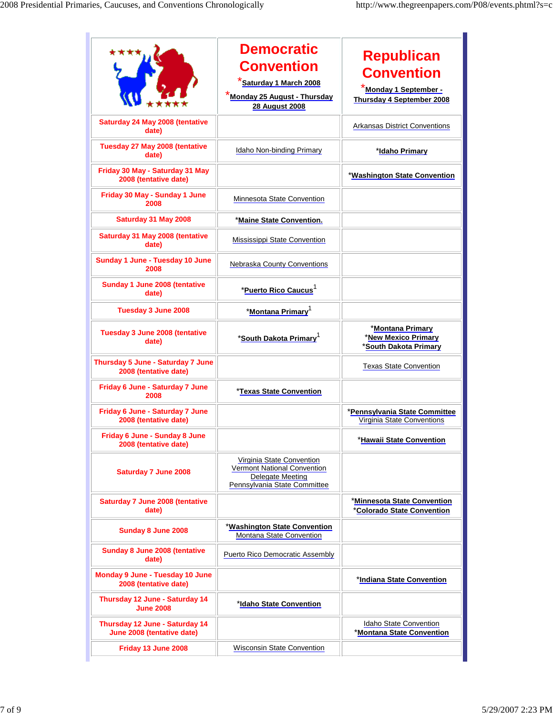|                                                              | <b>Democratic</b><br><b>Convention</b><br>Saturday 1 March 2008<br><b>*Monda<u>y 25 August - Thursday</u></b><br><b>28 August 2008</b> | Republican<br><b>Convention</b><br>Monday 1 September -<br><b>Thursday 4 September 2008</b> |
|--------------------------------------------------------------|----------------------------------------------------------------------------------------------------------------------------------------|---------------------------------------------------------------------------------------------|
| Saturday 24 May 2008 (tentative<br>date)                     |                                                                                                                                        | <b>Arkansas District Conventions</b>                                                        |
| Tuesday 27 May 2008 (tentative<br>date)                      | Idaho Non-binding Primary                                                                                                              | *Idaho Primary                                                                              |
| Friday 30 May - Saturday 31 May<br>2008 (tentative date)     |                                                                                                                                        | *Washington State Convention                                                                |
| Friday 30 May - Sunday 1 June<br>2008                        | Minnesota State Convention                                                                                                             |                                                                                             |
| Saturday 31 May 2008                                         | *Maine State Convention.                                                                                                               |                                                                                             |
| Saturday 31 May 2008 (tentative<br>date)                     | Mississippi State Convention                                                                                                           |                                                                                             |
| Sunday 1 June - Tuesday 10 June<br>2008                      | Nebraska County Conventions                                                                                                            |                                                                                             |
| Sunday 1 June 2008 (tentative<br>date)                       | *Puerto Rico Caucus <sup>1</sup>                                                                                                       |                                                                                             |
| Tuesday 3 June 2008                                          | *Montana Primary <sup>1</sup>                                                                                                          |                                                                                             |
| <b>Tuesday 3 June 2008 (tentative</b><br>date)               | *South Dakota Primary <sup>1</sup>                                                                                                     | *Montana Primary<br>*New Mexico Primary<br><b>South Dakota Primary</b>                      |
| Thursday 5 June - Saturday 7 June<br>2008 (tentative date)   |                                                                                                                                        | <b>Texas State Convention</b>                                                               |
| Friday 6 June - Saturday 7 June<br>2008                      | *Texas State Convention                                                                                                                |                                                                                             |
| Friday 6 June - Saturday 7 June<br>2008 (tentative date)     |                                                                                                                                        | *Pennsylvania State Committee<br>Virginia State Conventions                                 |
| Friday 6 June - Sunday 8 June<br>2008 (tentative date)       |                                                                                                                                        | *Hawaii State Convention                                                                    |
| <b>Saturday 7 June 2008</b>                                  | Virginia State Convention<br>Vermont National Convention<br>Delegate Meeting<br>Pennsylvania State Committee                           |                                                                                             |
| <b>Saturday 7 June 2008 (tentative</b><br>date)              |                                                                                                                                        | *Minnesota State Convention<br>*Colorado State Convention                                   |
| Sunday 8 June 2008                                           | *Washington State Convention<br>Montana State Convention                                                                               |                                                                                             |
| Sunday 8 June 2008 (tentative<br>date)                       | Puerto Rico Democratic Assembly                                                                                                        |                                                                                             |
| Monday 9 June - Tuesday 10 June<br>2008 (tentative date)     |                                                                                                                                        | *Indiana State Convention                                                                   |
| Thursday 12 June - Saturday 14<br><b>June 2008</b>           | *Idaho State Convention                                                                                                                |                                                                                             |
| Thursday 12 June - Saturday 14<br>June 2008 (tentative date) |                                                                                                                                        | Idaho State Convention<br>*Montana State Convention                                         |
| Friday 13 June 2008                                          | <b>Wisconsin State Convention</b>                                                                                                      |                                                                                             |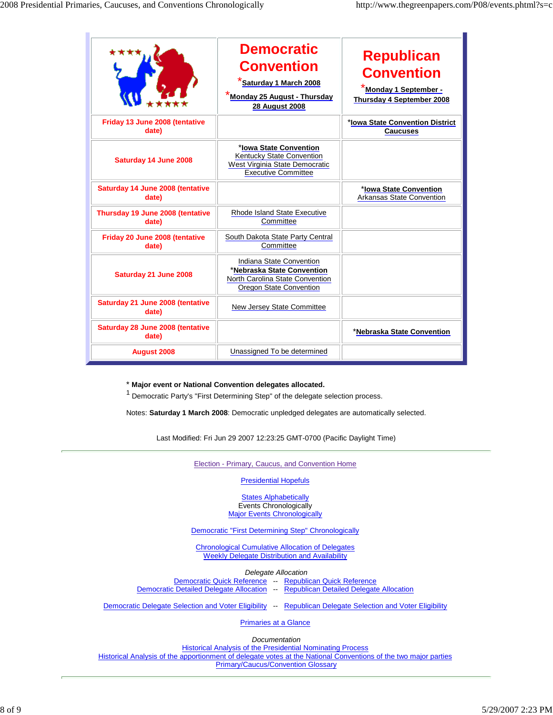|                                           | <b>Democratic</b><br><b>Convention</b><br><b>Saturday 1 March 2008</b><br>Monday 25 August - Thursday<br><b>28 August 2008</b> | Republican<br><b>Convention</b><br>Monday 1 September -<br>Thursday 4 September 2008 |
|-------------------------------------------|--------------------------------------------------------------------------------------------------------------------------------|--------------------------------------------------------------------------------------|
| Friday 13 June 2008 (tentative<br>date)   |                                                                                                                                | *Iowa State Convention District<br><b>Caucuses</b>                                   |
| Saturday 14 June 2008                     | *Iowa State Convention<br>Kentucky State Convention<br>West Virginia State Democratic<br><b>Executive Committee</b>            |                                                                                      |
| Saturday 14 June 2008 (tentative<br>date) |                                                                                                                                | *Iowa State Convention<br><b>Arkansas State Convention</b>                           |
| Thursday 19 June 2008 (tentative<br>date) | <b>Rhode Island State Executive</b><br>Committee                                                                               |                                                                                      |
| Friday 20 June 2008 (tentative<br>date)   | South Dakota State Party Central<br>Committee                                                                                  |                                                                                      |
| Saturday 21 June 2008                     | Indiana State Convention<br>*Nebraska State Convention<br>North Carolina State Convention<br>Oregon State Convention           |                                                                                      |
| Saturday 21 June 2008 (tentative<br>date) | New Jersey State Committee                                                                                                     |                                                                                      |
| Saturday 28 June 2008 (tentative<br>date) |                                                                                                                                | *Nebraska State Convention                                                           |
| <b>August 2008</b>                        | Unassigned To be determined                                                                                                    |                                                                                      |

## \* **Major event or National Convention delegates allocated.**

<sup>1</sup> Democratic Party's "First Determining Step" of the delegate selection process.

Notes: **Saturday 1 March 2008**: Democratic unpledged delegates are automatically selected.

Last Modified: Fri Jun 29 2007 12:23:25 GMT-0700 (Pacific Daylight Time)

Election - Primary, Caucus, and Convention Home

Presidential Hopefuls

**States Alphabetically**  Events Chronologically **Major Events Chronologically** 

Democratic "First Determining Step" Chronologically

 Chronological Cumulative Allocation of Delegates Weekly Delegate Distribution and Availability

Delegate Allocation

Democratic Quick Reference -- Republican Quick Reference Democratic Detailed Delegate Allocation -- Republican Detailed Delegate Allocation

Democratic Delegate Selection and Voter Eligibility -- Republican Delegate Selection and Voter Eligibility

Primaries at a Glance

**Documentation** 

 Historical Analysis of the Presidential Nominating Process Historical Analysis of the apportionment of delegate votes at the National Conventions of the two major parties Primary/Caucus/Convention Glossary